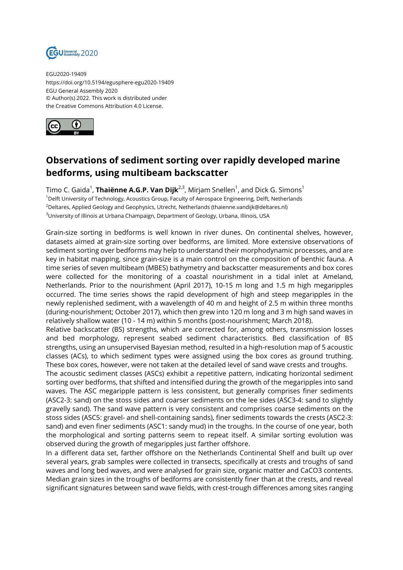

EGU2020-19409 https://doi.org/10.5194/egusphere-egu2020-19409 EGU General Assembly 2020 © Author(s) 2022. This work is distributed under the Creative Commons Attribution 4.0 License.



## **Observations of sediment sorting over rapidly developed marine bedforms, using multibeam backscatter**

Timo C. Gaida<sup>1</sup>, **Thaiënne A.G.P. Van Dijk<sup>2,3</sup>,** Mirjam Snellen<sup>1</sup>, and Dick G. Simons<sup>1</sup> <sup>1</sup>Delft University of Technology, Acoustics Group, Faculty of Aerospace Engineering, Delft, Netherlands <sup>2</sup>Deltares, Applied Geology and Geophysics, Utrecht, Netherlands (thaienne.vandijk@deltares.nl) <sup>3</sup>University of Illinois at Urbana Champaign, Department of Geology, Urbana, Illinois, USA

Grain-size sorting in bedforms is well known in river dunes. On continental shelves, however, datasets aimed at grain-size sorting over bedforms, are limited. More extensive observations of sediment sorting over bedforms may help to understand their morphodynamic processes, and are key in habitat mapping, since grain-size is a main control on the composition of benthic fauna. A time series of seven multibeam (MBES) bathymetry and backscatter measurements and box cores were collected for the monitoring of a coastal nourishment in a tidal inlet at Ameland, Netherlands. Prior to the nourishment (April 2017), 10-15 m long and 1.5 m high megaripples occurred. The time series shows the rapid development of high and steep megaripples in the newly replenished sediment, with a wavelength of 40 m and height of 2.5 m within three months (during-nourishment; October 2017), which then grew into 120 m long and 3 m high sand waves in relatively shallow water (10 - 14 m) within 5 months (post-nourishment; March 2018).

Relative backscatter (BS) strengths, which are corrected for, among others, transmission losses and bed morphology, represent seabed sediment characteristics. Bed classification of BS strengths, using an unsupervised Bayesian method, resulted in a high-resolution map of 5 acoustic classes (ACs), to which sediment types were assigned using the box cores as ground truthing. These box cores, however, were not taken at the detailed level of sand wave crests and troughs.

The acoustic sediment classes (ASCs) exhibit a repetitive pattern, indicating horizontal sediment sorting over bedforms, that shifted and intensified during the growth of the megaripples into sand waves. The ASC megaripple pattern is less consistent, but generally comprises finer sediments (ASC2-3: sand) on the stoss sides and coarser sediments on the lee sides (ASC3-4: sand to slightly gravelly sand). The sand wave pattern is very consistent and comprises coarse sediments on the stoss sides (ASC5: gravel- and shell-containing sands), finer sediments towards the crests (ASC2-3: sand) and even finer sediments (ASC1: sandy mud) in the troughs. In the course of one year, both the morphological and sorting patterns seem to repeat itself. A similar sorting evolution was observed during the growth of megaripples just farther offshore.

In a different data set, farther offshore on the Netherlands Continental Shelf and built up over several years, grab samples were collected in transects, specifically at crests and troughs of sand waves and long bed waves, and were analysed for grain size, organic matter and CaCO3 contents. Median grain sizes in the troughs of bedforms are consistently finer than at the crests, and reveal significant signatures between sand wave fields, with crest-trough differences among sites ranging